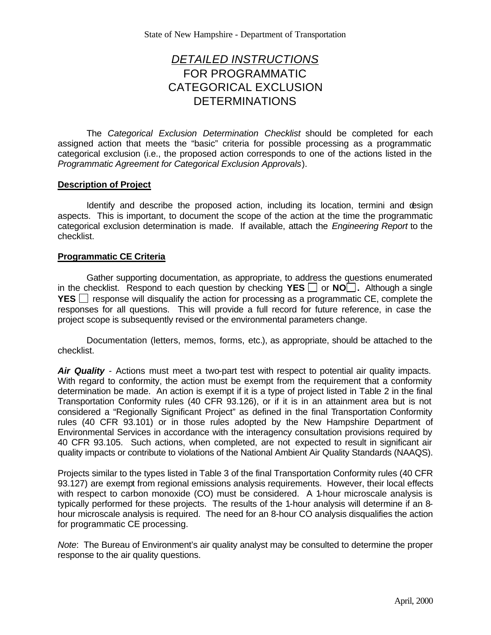# *DETAILED INSTRUCTIONS* FOR PROGRAMMATIC CATEGORICAL EXCLUSION DETERMINATIONS

The *Categorical Exclusion Determination Checklist* should be completed for each assigned action that meets the "basic" criteria for possible processing as a programmatic categorical exclusion (i.e., the proposed action corresponds to one of the actions listed in the *Programmatic Agreement for Categorical Exclusion Approvals*).

## **Description of Project**

Identify and describe the proposed action, including its location, termini and design aspects. This is important, to document the scope of the action at the time the programmatic categorical exclusion determination is made. If available, attach the *Engineering Report* to the checklist.

### **Programmatic CE Criteria**

Gather supporting documentation, as appropriate, to address the questions enumerated in the checklist. Respond to each question by checking **YES**  $\Box$  or **NO**  $\Box$ . Although a single **YES**  $\Box$  response will disqualify the action for processing as a programmatic CE, complete the responses for all questions. This will provide a full record for future reference, in case the project scope is subsequently revised or the environmental parameters change.

Documentation (letters, memos, forms, etc.), as appropriate, should be attached to the checklist.

Air **Quality** - Actions must meet a two-part test with respect to potential air quality impacts. With regard to conformity, the action must be exempt from the requirement that a conformity determination be made. An action is exempt if it is a type of project listed in Table 2 in the final Transportation Conformity rules (40 CFR 93.126), or if it is in an attainment area but is not considered a "Regionally Significant Project" as defined in the final Transportation Conformity rules (40 CFR 93.101) or in those rules adopted by the New Hampshire Department of Environmental Services in accordance with the interagency consultation provisions required by 40 CFR 93.105. Such actions, when completed, are not expected to result in significant air quality impacts or contribute to violations of the National Ambient Air Quality Standards (NAAQS).

Projects similar to the types listed in Table 3 of the final Transportation Conformity rules (40 CFR 93.127) are exempt from regional emissions analysis requirements. However, their local effects with respect to carbon monoxide (CO) must be considered. A 1-hour microscale analysis is typically performed for these projects. The results of the 1-hour analysis will determine if an 8 hour microscale analysis is required. The need for an 8-hour CO analysis disqualifies the action for programmatic CE processing.

*Note*: The Bureau of Environment's air quality analyst may be consulted to determine the proper response to the air quality questions.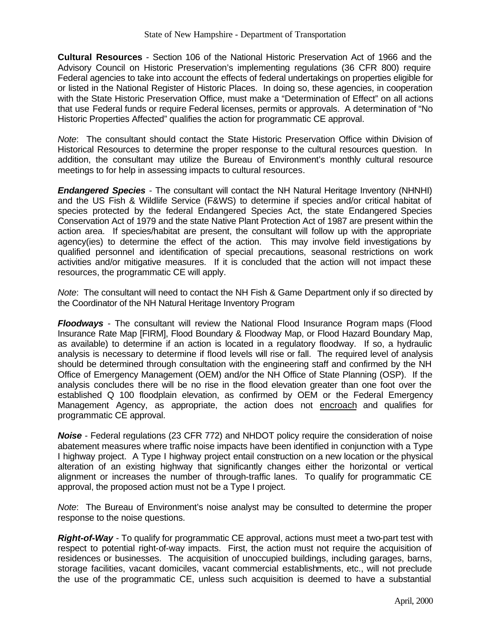**Cultural Resources** - Section 106 of the National Historic Preservation Act of 1966 and the Advisory Council on Historic Preservation's implementing regulations (36 CFR 800) require Federal agencies to take into account the effects of federal undertakings on properties eligible for or listed in the National Register of Historic Places. In doing so, these agencies, in cooperation with the State Historic Preservation Office, must make a "Determination of Effect" on all actions that use Federal funds or require Federal licenses, permits or approvals. A determination of "No Historic Properties Affected" qualifies the action for programmatic CE approval.

*Note*: The consultant should contact the State Historic Preservation Office within Division of Historical Resources to determine the proper response to the cultural resources question. In addition, the consultant may utilize the Bureau of Environment's monthly cultural resource meetings to for help in assessing impacts to cultural resources.

*Endangered Species* - The consultant will contact the NH Natural Heritage Inventory (NHNHI) and the US Fish & Wildlife Service (F&WS) to determine if species and/or critical habitat of species protected by the federal Endangered Species Act, the state Endangered Species Conservation Act of 1979 and the state Native Plant Protection Act of 1987 are present within the action area. If species/habitat are present, the consultant will follow up with the appropriate agency(ies) to determine the effect of the action. This may involve field investigations by qualified personnel and identification of special precautions, seasonal restrictions on work activities and/or mitigative measures. If it is concluded that the action will not impact these resources, the programmatic CE will apply.

*Note*: The consultant will need to contact the NH Fish & Game Department only if so directed by the Coordinator of the NH Natural Heritage Inventory Program

*Floodways* - The consultant will review the National Flood Insurance Program maps (Flood Insurance Rate Map [FIRM], Flood Boundary & Floodway Map, or Flood Hazard Boundary Map, as available) to determine if an action is located in a regulatory floodway. If so, a hydraulic analysis is necessary to determine if flood levels will rise or fall. The required level of analysis should be determined through consultation with the engineering staff and confirmed by the NH Office of Emergency Management (OEM) and/or the NH Office of State Planning (OSP). If the analysis concludes there will be no rise in the flood elevation greater than one foot over the established Q 100 floodplain elevation, as confirmed by OEM or the Federal Emergency Management Agency, as appropriate, the action does not encroach and qualifies for programmatic CE approval.

*Noise* - Federal regulations (23 CFR 772) and NHDOT policy require the consideration of noise abatement measures where traffic noise impacts have been identified in conjunction with a Type I highway project. A Type I highway project entail construction on a new location or the physical alteration of an existing highway that significantly changes either the horizontal or vertical alignment or increases the number of through-traffic lanes. To qualify for programmatic CE approval, the proposed action must not be a Type I project.

*Note*: The Bureau of Environment's noise analyst may be consulted to determine the proper response to the noise questions.

**Right-of-Way** - To qualify for programmatic CE approval, actions must meet a two-part test with respect to potential right-of-way impacts. First, the action must not require the acquisition of residences or businesses. The acquisition of unoccupied buildings, including garages, barns, storage facilities, vacant domiciles, vacant commercial establishments, etc., will not preclude the use of the programmatic CE, unless such acquisition is deemed to have a substantial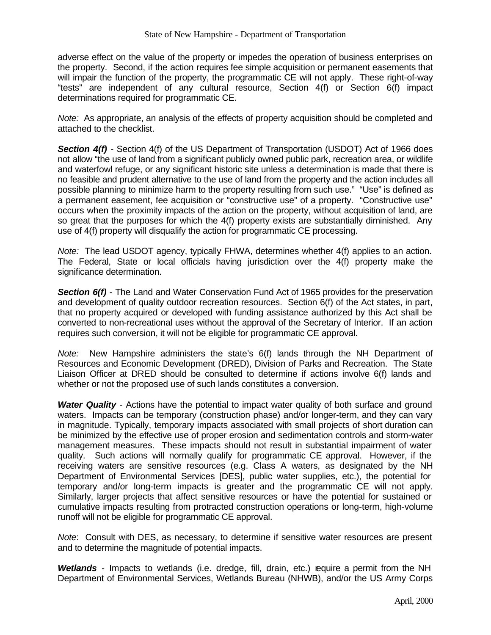adverse effect on the value of the property or impedes the operation of business enterprises on the property. Second, if the action requires fee simple acquisition or permanent easements that will impair the function of the property, the programmatic CE will not apply. These right-of-way "tests" are independent of any cultural resource, Section 4(f) or Section 6(f) impact determinations required for programmatic CE.

*Note:* As appropriate, an analysis of the effects of property acquisition should be completed and attached to the checklist.

**Section 4(f)** - Section 4(f) of the US Department of Transportation (USDOT) Act of 1966 does not allow "the use of land from a significant publicly owned public park, recreation area, or wildlife and waterfowl refuge, or any significant historic site unless a determination is made that there is no feasible and prudent alternative to the use of land from the property and the action includes all possible planning to minimize harm to the property resulting from such use." "Use" is defined as a permanent easement, fee acquisition or "constructive use" of a property. "Constructive use" occurs when the proximity impacts of the action on the property, without acquisition of land, are so great that the purposes for which the 4(f) property exists are substantially diminished. Any use of 4(f) property will disqualify the action for programmatic CE processing.

*Note:* The lead USDOT agency, typically FHWA, determines whether 4(f) applies to an action. The Federal, State or local officials having jurisdiction over the 4(f) property make the significance determination.

**Section 6(f)** - The Land and Water Conservation Fund Act of 1965 provides for the preservation and development of quality outdoor recreation resources. Section 6(f) of the Act states, in part, that no property acquired or developed with funding assistance authorized by this Act shall be converted to non-recreational uses without the approval of the Secretary of Interior. If an action requires such conversion, it will not be eligible for programmatic CE approval.

*Note:* New Hampshire administers the state's 6(f) lands through the NH Department of Resources and Economic Development (DRED), Division of Parks and Recreation. The State Liaison Officer at DRED should be consulted to determine if actions involve 6(f) lands and whether or not the proposed use of such lands constitutes a conversion.

**Water Quality** - Actions have the potential to impact water quality of both surface and ground waters. Impacts can be temporary (construction phase) and/or longer-term, and they can vary in magnitude. Typically, temporary impacts associated with small projects of short duration can be minimized by the effective use of proper erosion and sedimentation controls and storm-water management measures. These impacts should not result in substantial impairment of water quality. Such actions will normally qualify for programmatic CE approval. However, if the receiving waters are sensitive resources (e.g. Class A waters, as designated by the NH Department of Environmental Services [DES], public water supplies, etc.), the potential for temporary and/or long-term impacts is greater and the programmatic CE will not apply. Similarly, larger projects that affect sensitive resources or have the potential for sustained or cumulative impacts resulting from protracted construction operations or long-term, high-volume runoff will not be eligible for programmatic CE approval.

*Note*: Consult with DES, as necessary, to determine if sensitive water resources are present and to determine the magnitude of potential impacts.

**Wetlands** - Impacts to wetlands (i.e. dredge, fill, drain, etc.) require a permit from the NH Department of Environmental Services, Wetlands Bureau (NHWB), and/or the US Army Corps